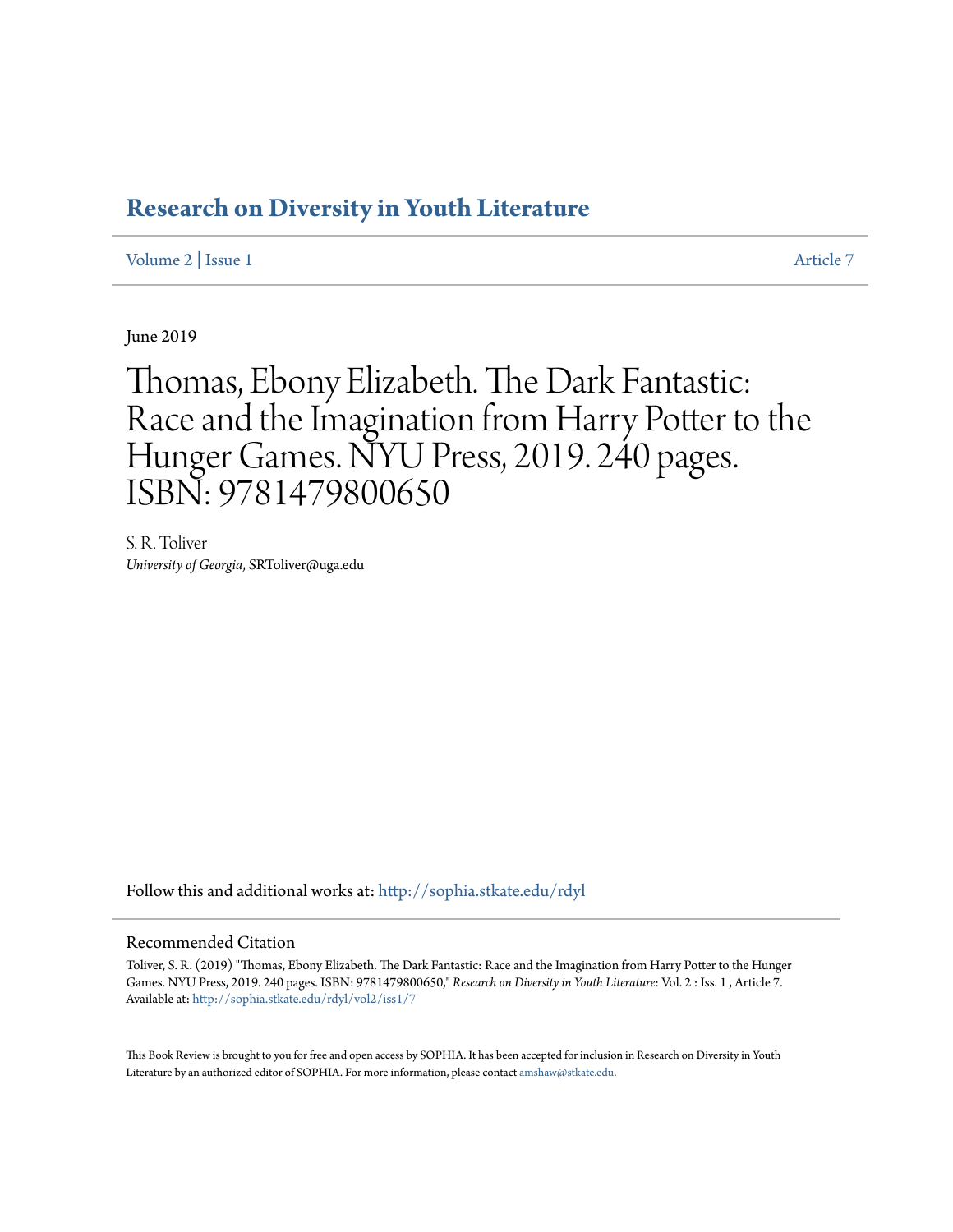## **[Research on Diversity in Youth Literature](http://sophia.stkate.edu/rdyl?utm_source=sophia.stkate.edu%2Frdyl%2Fvol2%2Fiss1%2F7&utm_medium=PDF&utm_campaign=PDFCoverPages)**

[Volume 2](http://sophia.stkate.edu/rdyl/vol2?utm_source=sophia.stkate.edu%2Frdyl%2Fvol2%2Fiss1%2F7&utm_medium=PDF&utm_campaign=PDFCoverPages) | [Issue 1](http://sophia.stkate.edu/rdyl/vol2/iss1?utm_source=sophia.stkate.edu%2Frdyl%2Fvol2%2Fiss1%2F7&utm_medium=PDF&utm_campaign=PDFCoverPages) [Article 7](http://sophia.stkate.edu/rdyl/vol2/iss1/7?utm_source=sophia.stkate.edu%2Frdyl%2Fvol2%2Fiss1%2F7&utm_medium=PDF&utm_campaign=PDFCoverPages)

June 2019

Thomas, Ebony Elizabeth. The Dark Fantastic: Race and the Imagination from Harry Potter to the Hunger Games. NYU Press, 2019. 240 pages. ISBN: 9781479800650

S. R. Toliver *University of Georgia*, SRToliver@uga.edu

Follow this and additional works at: [http://sophia.stkate.edu/rdyl](http://sophia.stkate.edu/rdyl?utm_source=sophia.stkate.edu%2Frdyl%2Fvol2%2Fiss1%2F7&utm_medium=PDF&utm_campaign=PDFCoverPages)

## Recommended Citation

Toliver, S. R. (2019) "Thomas, Ebony Elizabeth. The Dark Fantastic: Race and the Imagination from Harry Potter to the Hunger Games. NYU Press, 2019. 240 pages. ISBN: 9781479800650," *Research on Diversity in Youth Literature*: Vol. 2 : Iss. 1 , Article 7. Available at: [http://sophia.stkate.edu/rdyl/vol2/iss1/7](http://sophia.stkate.edu/rdyl/vol2/iss1/7?utm_source=sophia.stkate.edu%2Frdyl%2Fvol2%2Fiss1%2F7&utm_medium=PDF&utm_campaign=PDFCoverPages)

This Book Review is brought to you for free and open access by SOPHIA. It has been accepted for inclusion in Research on Diversity in Youth Literature by an authorized editor of SOPHIA. For more information, please contact [amshaw@stkate.edu.](mailto:amshaw@stkate.edu)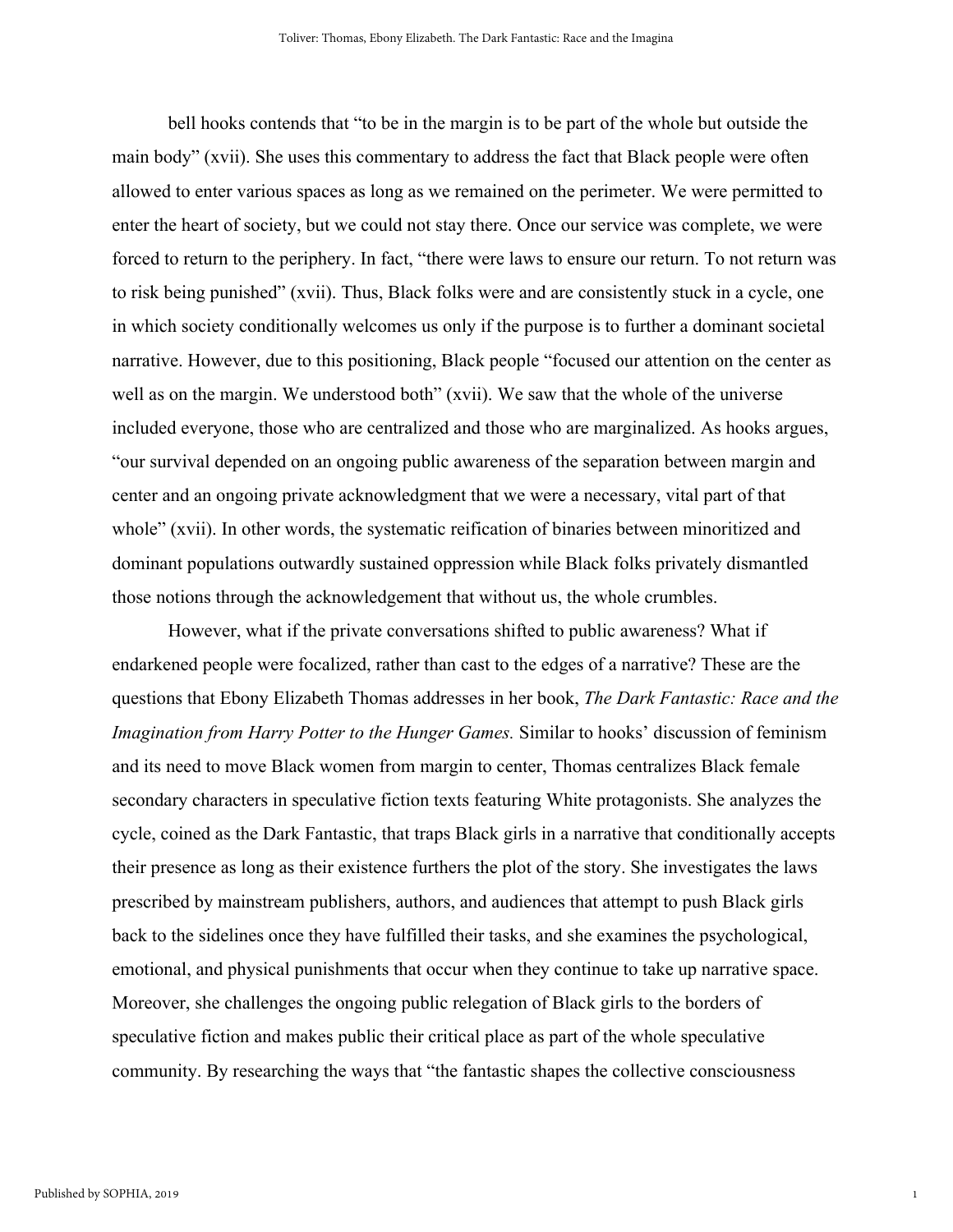bell hooks contends that "to be in the margin is to be part of the whole but outside the main body" (xvii). She uses this commentary to address the fact that Black people were often allowed to enter various spaces as long as we remained on the perimeter. We were permitted to enter the heart of society, but we could not stay there. Once our service was complete, we were forced to return to the periphery. In fact, "there were laws to ensure our return. To not return was to risk being punished" (xvii). Thus, Black folks were and are consistently stuck in a cycle, one in which society conditionally welcomes us only if the purpose is to further a dominant societal narrative. However, due to this positioning, Black people "focused our attention on the center as well as on the margin. We understood both" (xvii). We saw that the whole of the universe included everyone, those who are centralized and those who are marginalized. As hooks argues, "our survival depended on an ongoing public awareness of the separation between margin and center and an ongoing private acknowledgment that we were a necessary, vital part of that whole" (xvii). In other words, the systematic reification of binaries between minoritized and dominant populations outwardly sustained oppression while Black folks privately dismantled those notions through the acknowledgement that without us, the whole crumbles.

However, what if the private conversations shifted to public awareness? What if endarkened people were focalized, rather than cast to the edges of a narrative? These are the questions that Ebony Elizabeth Thomas addresses in her book, *The Dark Fantastic: Race and the Imagination from Harry Potter to the Hunger Games.* Similar to hooks' discussion of feminism and its need to move Black women from margin to center, Thomas centralizes Black female secondary characters in speculative fiction texts featuring White protagonists. She analyzes the cycle, coined as the Dark Fantastic, that traps Black girls in a narrative that conditionally accepts their presence as long as their existence furthers the plot of the story. She investigates the laws prescribed by mainstream publishers, authors, and audiences that attempt to push Black girls back to the sidelines once they have fulfilled their tasks, and she examines the psychological, emotional, and physical punishments that occur when they continue to take up narrative space. Moreover, she challenges the ongoing public relegation of Black girls to the borders of speculative fiction and makes public their critical place as part of the whole speculative community. By researching the ways that "the fantastic shapes the collective consciousness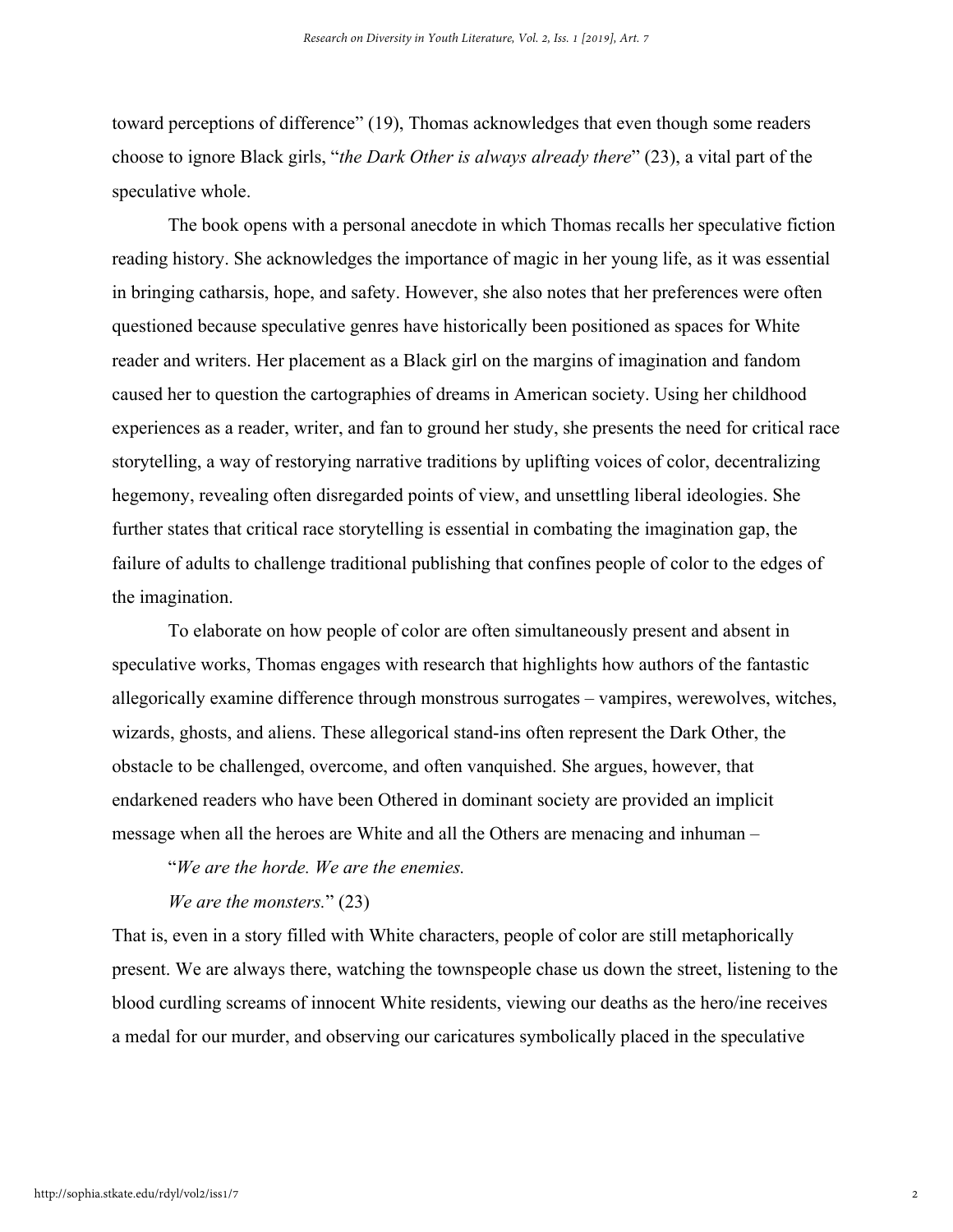toward perceptions of difference" (19), Thomas acknowledges that even though some readers choose to ignore Black girls, "*the Dark Other is always already there*" (23), a vital part of the speculative whole.

The book opens with a personal anecdote in which Thomas recalls her speculative fiction reading history. She acknowledges the importance of magic in her young life, as it was essential in bringing catharsis, hope, and safety. However, she also notes that her preferences were often questioned because speculative genres have historically been positioned as spaces for White reader and writers. Her placement as a Black girl on the margins of imagination and fandom caused her to question the cartographies of dreams in American society. Using her childhood experiences as a reader, writer, and fan to ground her study, she presents the need for critical race storytelling, a way of restorying narrative traditions by uplifting voices of color, decentralizing hegemony, revealing often disregarded points of view, and unsettling liberal ideologies. She further states that critical race storytelling is essential in combating the imagination gap, the failure of adults to challenge traditional publishing that confines people of color to the edges of the imagination.

To elaborate on how people of color are often simultaneously present and absent in speculative works, Thomas engages with research that highlights how authors of the fantastic allegorically examine difference through monstrous surrogates – vampires, werewolves, witches, wizards, ghosts, and aliens. These allegorical stand-ins often represent the Dark Other, the obstacle to be challenged, overcome, and often vanquished. She argues, however, that endarkened readers who have been Othered in dominant society are provided an implicit message when all the heroes are White and all the Others are menacing and inhuman –

"*We are the horde. We are the enemies.*

*We are the monsters.*" (23)

That is, even in a story filled with White characters, people of color are still metaphorically present. We are always there, watching the townspeople chase us down the street, listening to the blood curdling screams of innocent White residents, viewing our deaths as the hero/ine receives a medal for our murder, and observing our caricatures symbolically placed in the speculative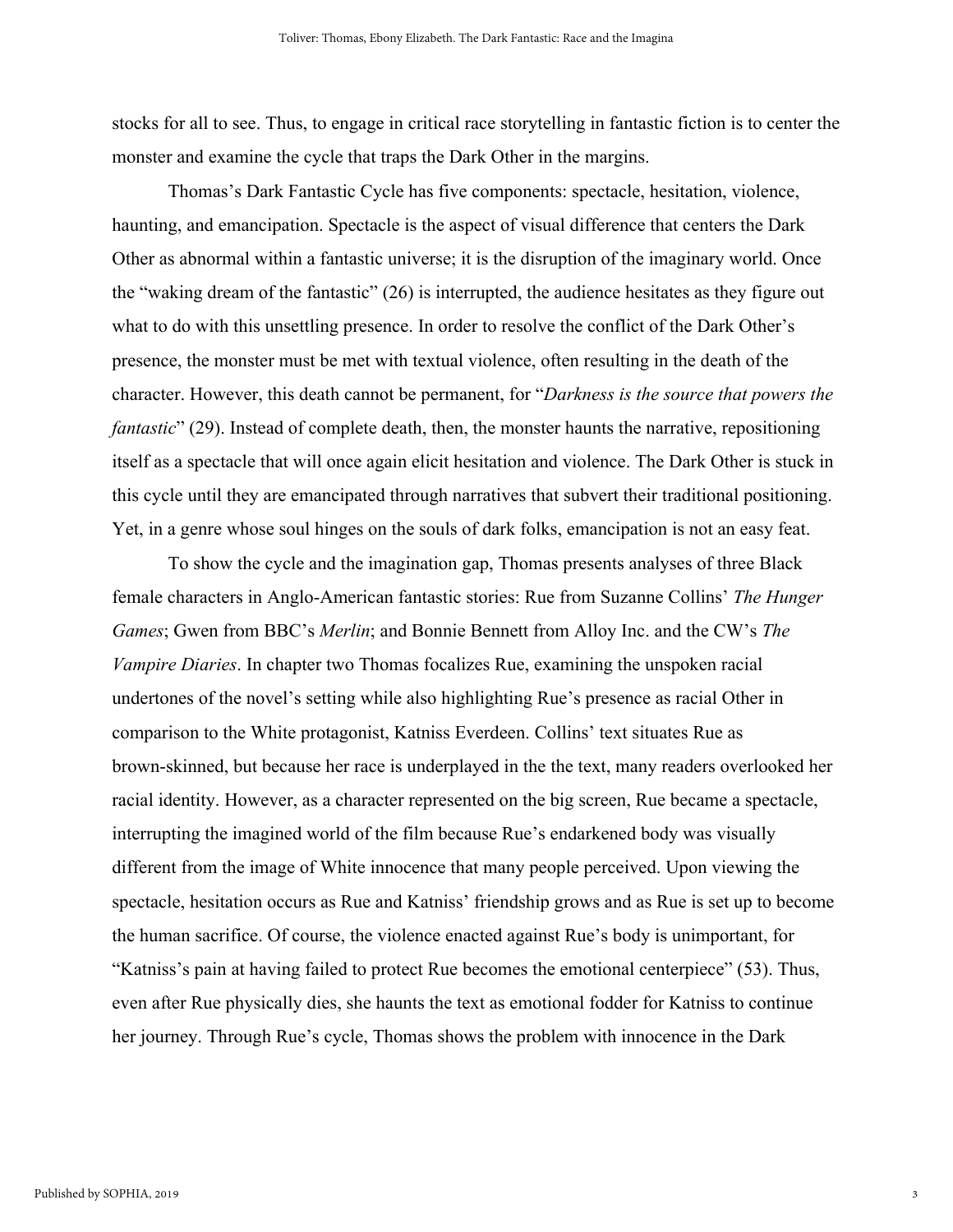stocks for all to see. Thus, to engage in critical race storytelling in fantastic fiction is to center the monster and examine the cycle that traps the Dark Other in the margins.

Thomas's Dark Fantastic Cycle has five components: spectacle, hesitation, violence, haunting, and emancipation. Spectacle is the aspect of visual difference that centers the Dark Other as abnormal within a fantastic universe; it is the disruption of the imaginary world. Once the "waking dream of the fantastic" (26) is interrupted, the audience hesitates as they figure out what to do with this unsettling presence. In order to resolve the conflict of the Dark Other's presence, the monster must be met with textual violence, often resulting in the death of the character. However, this death cannot be permanent, for "*Darkness is the source that powers the fantastic*" (29). Instead of complete death, then, the monster haunts the narrative, repositioning itself as a spectacle that will once again elicit hesitation and violence. The Dark Other is stuck in this cycle until they are emancipated through narratives that subvert their traditional positioning. Yet, in a genre whose soul hinges on the souls of dark folks, emancipation is not an easy feat.

To show the cycle and the imagination gap, Thomas presents analyses of three Black female characters in Anglo-American fantastic stories: Rue from Suzanne Collins' *The Hunger Games*; Gwen from BBC's *Merlin*; and Bonnie Bennett from Alloy Inc. and the CW's *The Vampire Diaries*. In chapter two Thomas focalizes Rue, examining the unspoken racial undertones of the novel's setting while also highlighting Rue's presence as racial Other in comparison to the White protagonist, Katniss Everdeen. Collins' text situates Rue as brown-skinned, but because her race is underplayed in the the text, many readers overlooked her racial identity. However, as a character represented on the big screen, Rue became a spectacle, interrupting the imagined world of the film because Rue's endarkened body was visually different from the image of White innocence that many people perceived. Upon viewing the spectacle, hesitation occurs as Rue and Katniss' friendship grows and as Rue is set up to become the human sacrifice. Of course, the violence enacted against Rue's body is unimportant, for "Katniss's pain at having failed to protect Rue becomes the emotional centerpiece" (53). Thus, even after Rue physically dies, she haunts the text as emotional fodder for Katniss to continue her journey. Through Rue's cycle, Thomas shows the problem with innocence in the Dark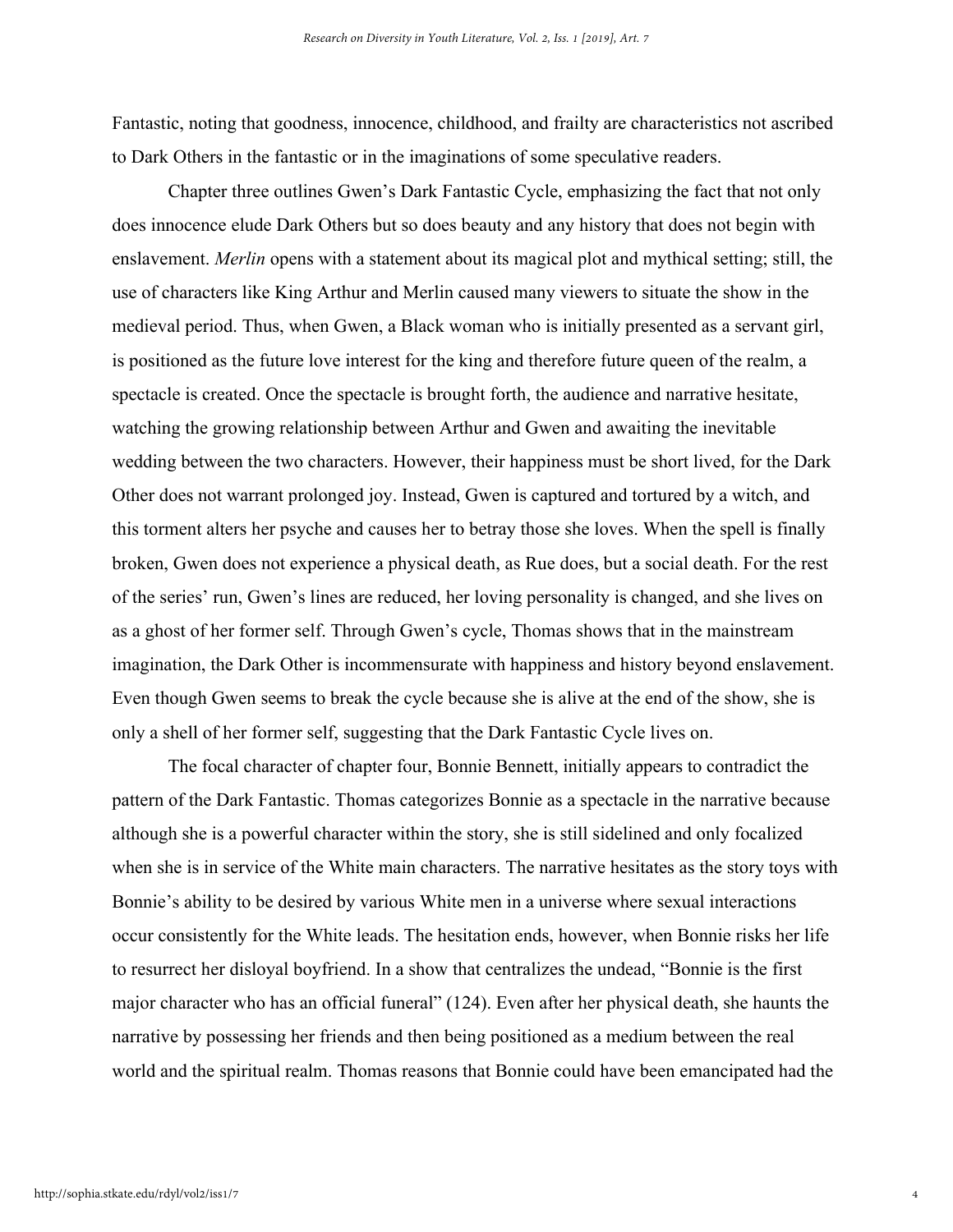Fantastic, noting that goodness, innocence, childhood, and frailty are characteristics not ascribed to Dark Others in the fantastic or in the imaginations of some speculative readers.

Chapter three outlines Gwen's Dark Fantastic Cycle, emphasizing the fact that not only does innocence elude Dark Others but so does beauty and any history that does not begin with enslavement. *Merlin* opens with a statement about its magical plot and mythical setting; still, the use of characters like King Arthur and Merlin caused many viewers to situate the show in the medieval period. Thus, when Gwen, a Black woman who is initially presented as a servant girl, is positioned as the future love interest for the king and therefore future queen of the realm, a spectacle is created. Once the spectacle is brought forth, the audience and narrative hesitate, watching the growing relationship between Arthur and Gwen and awaiting the inevitable wedding between the two characters. However, their happiness must be short lived, for the Dark Other does not warrant prolonged joy. Instead, Gwen is captured and tortured by a witch, and this torment alters her psyche and causes her to betray those she loves. When the spell is finally broken, Gwen does not experience a physical death, as Rue does, but a social death. For the rest of the series' run, Gwen's lines are reduced, her loving personality is changed, and she lives on as a ghost of her former self. Through Gwen's cycle, Thomas shows that in the mainstream imagination, the Dark Other is incommensurate with happiness and history beyond enslavement. Even though Gwen seems to break the cycle because she is alive at the end of the show, she is only a shell of her former self, suggesting that the Dark Fantastic Cycle lives on.

The focal character of chapter four, Bonnie Bennett, initially appears to contradict the pattern of the Dark Fantastic. Thomas categorizes Bonnie as a spectacle in the narrative because although she is a powerful character within the story, she is still sidelined and only focalized when she is in service of the White main characters. The narrative hesitates as the story toys with Bonnie's ability to be desired by various White men in a universe where sexual interactions occur consistently for the White leads. The hesitation ends, however, when Bonnie risks her life to resurrect her disloyal boyfriend. In a show that centralizes the undead, "Bonnie is the first major character who has an official funeral" (124). Even after her physical death, she haunts the narrative by possessing her friends and then being positioned as a medium between the real world and the spiritual realm. Thomas reasons that Bonnie could have been emancipated had the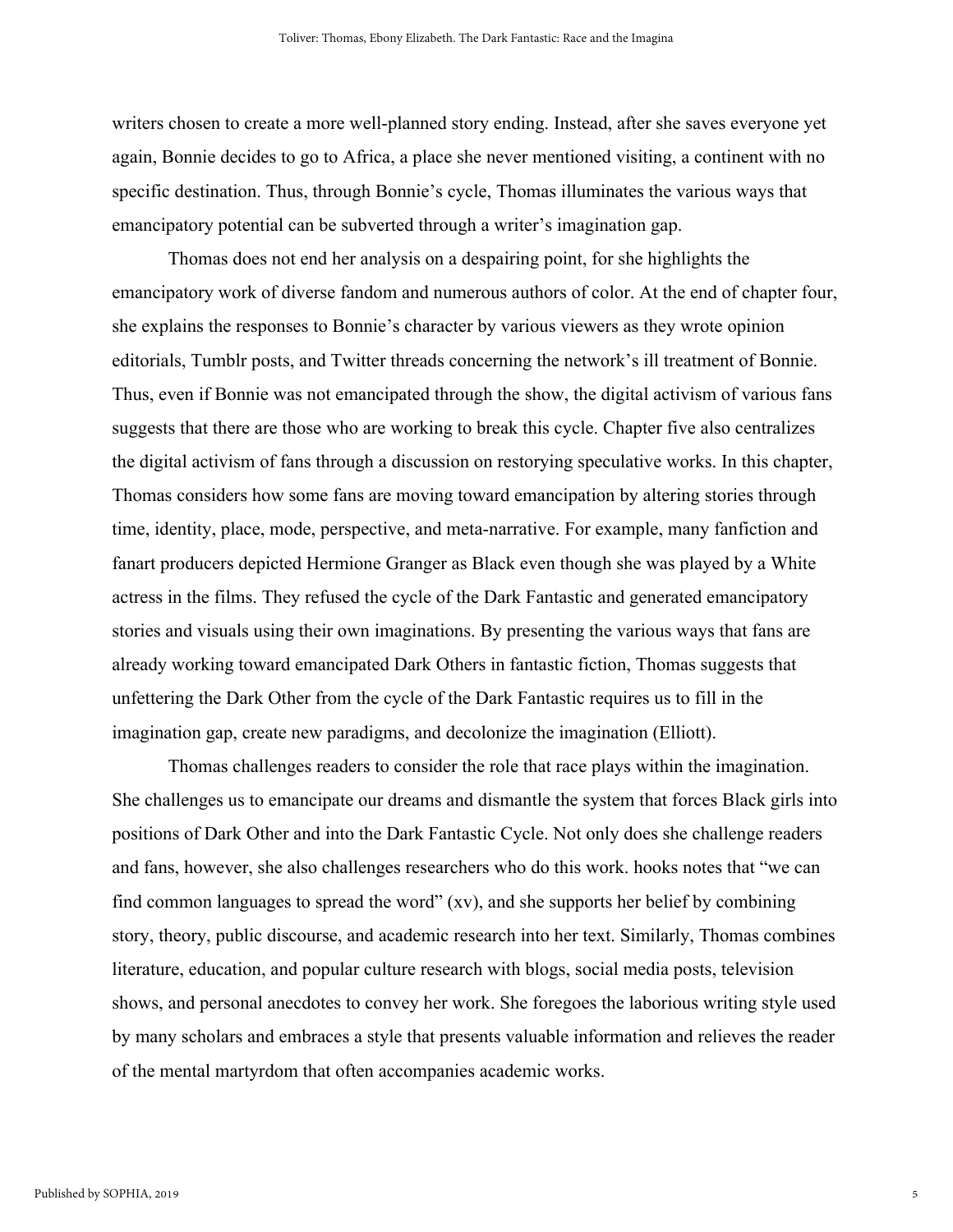writers chosen to create a more well-planned story ending. Instead, after she saves everyone yet again, Bonnie decides to go to Africa, a place she never mentioned visiting, a continent with no specific destination. Thus, through Bonnie's cycle, Thomas illuminates the various ways that emancipatory potential can be subverted through a writer's imagination gap.

Thomas does not end her analysis on a despairing point, for she highlights the emancipatory work of diverse fandom and numerous authors of color. At the end of chapter four, she explains the responses to Bonnie's character by various viewers as they wrote opinion editorials, Tumblr posts, and Twitter threads concerning the network's ill treatment of Bonnie. Thus, even if Bonnie was not emancipated through the show, the digital activism of various fans suggests that there are those who are working to break this cycle. Chapter five also centralizes the digital activism of fans through a discussion on restorying speculative works. In this chapter, Thomas considers how some fans are moving toward emancipation by altering stories through time, identity, place, mode, perspective, and meta-narrative. For example, many fanfiction and fanart producers depicted Hermione Granger as Black even though she was played by a White actress in the films. They refused the cycle of the Dark Fantastic and generated emancipatory stories and visuals using their own imaginations. By presenting the various ways that fans are already working toward emancipated Dark Others in fantastic fiction, Thomas suggests that unfettering the Dark Other from the cycle of the Dark Fantastic requires us to fill in the imagination gap, create new paradigms, and decolonize the imagination (Elliott).

Thomas challenges readers to consider the role that race plays within the imagination. She challenges us to emancipate our dreams and dismantle the system that forces Black girls into positions of Dark Other and into the Dark Fantastic Cycle. Not only does she challenge readers and fans, however, she also challenges researchers who do this work. hooks notes that "we can find common languages to spread the word" (xv), and she supports her belief by combining story, theory, public discourse, and academic research into her text. Similarly, Thomas combines literature, education, and popular culture research with blogs, social media posts, television shows, and personal anecdotes to convey her work. She foregoes the laborious writing style used by many scholars and embraces a style that presents valuable information and relieves the reader of the mental martyrdom that often accompanies academic works.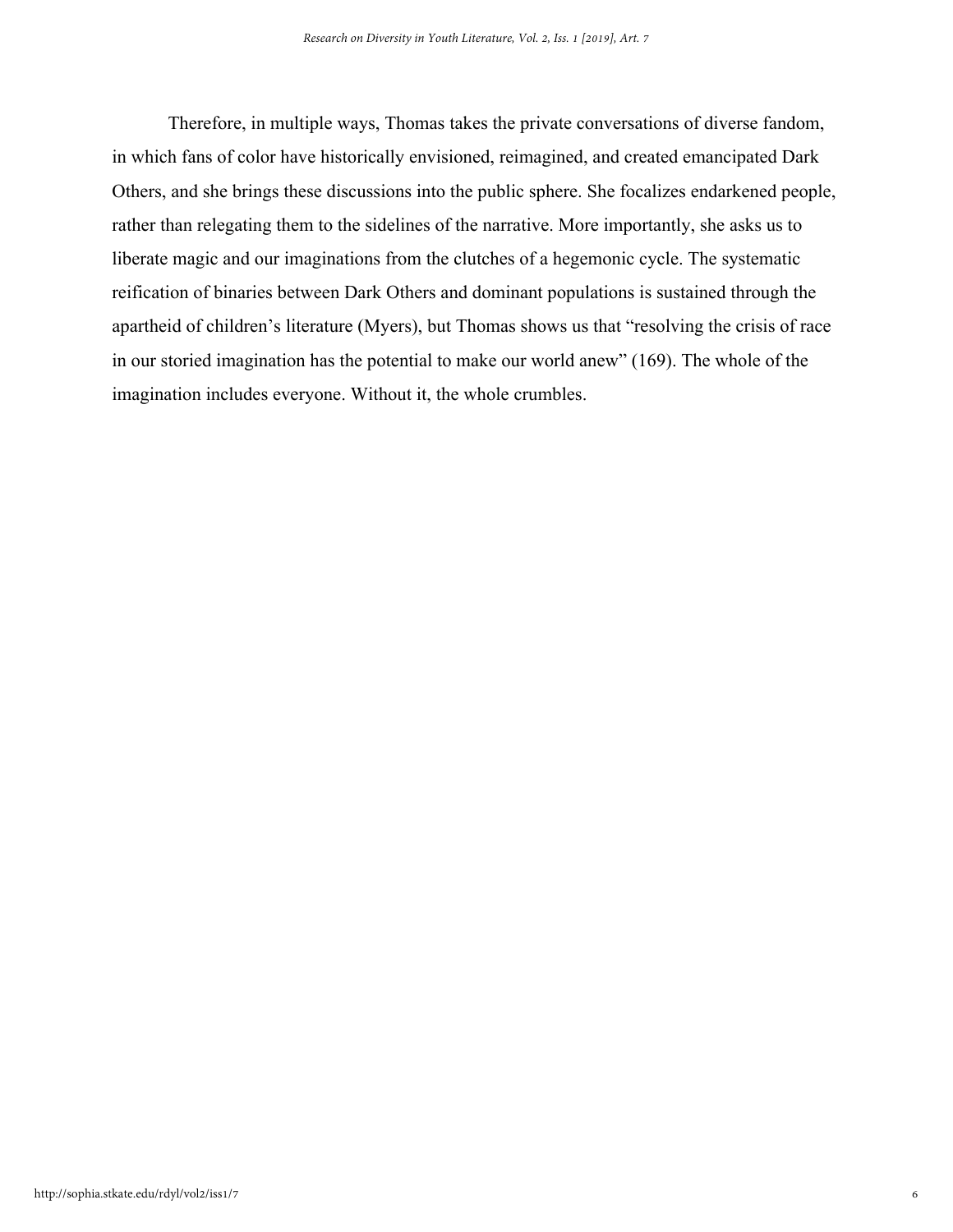Therefore, in multiple ways, Thomas takes the private conversations of diverse fandom, in which fans of color have historically envisioned, reimagined, and created emancipated Dark Others, and she brings these discussions into the public sphere. She focalizes endarkened people, rather than relegating them to the sidelines of the narrative. More importantly, she asks us to liberate magic and our imaginations from the clutches of a hegemonic cycle. The systematic reification of binaries between Dark Others and dominant populations is sustained through the apartheid of children's literature (Myers), but Thomas shows us that "resolving the crisis of race in our storied imagination has the potential to make our world anew" (169). The whole of the imagination includes everyone. Without it, the whole crumbles.